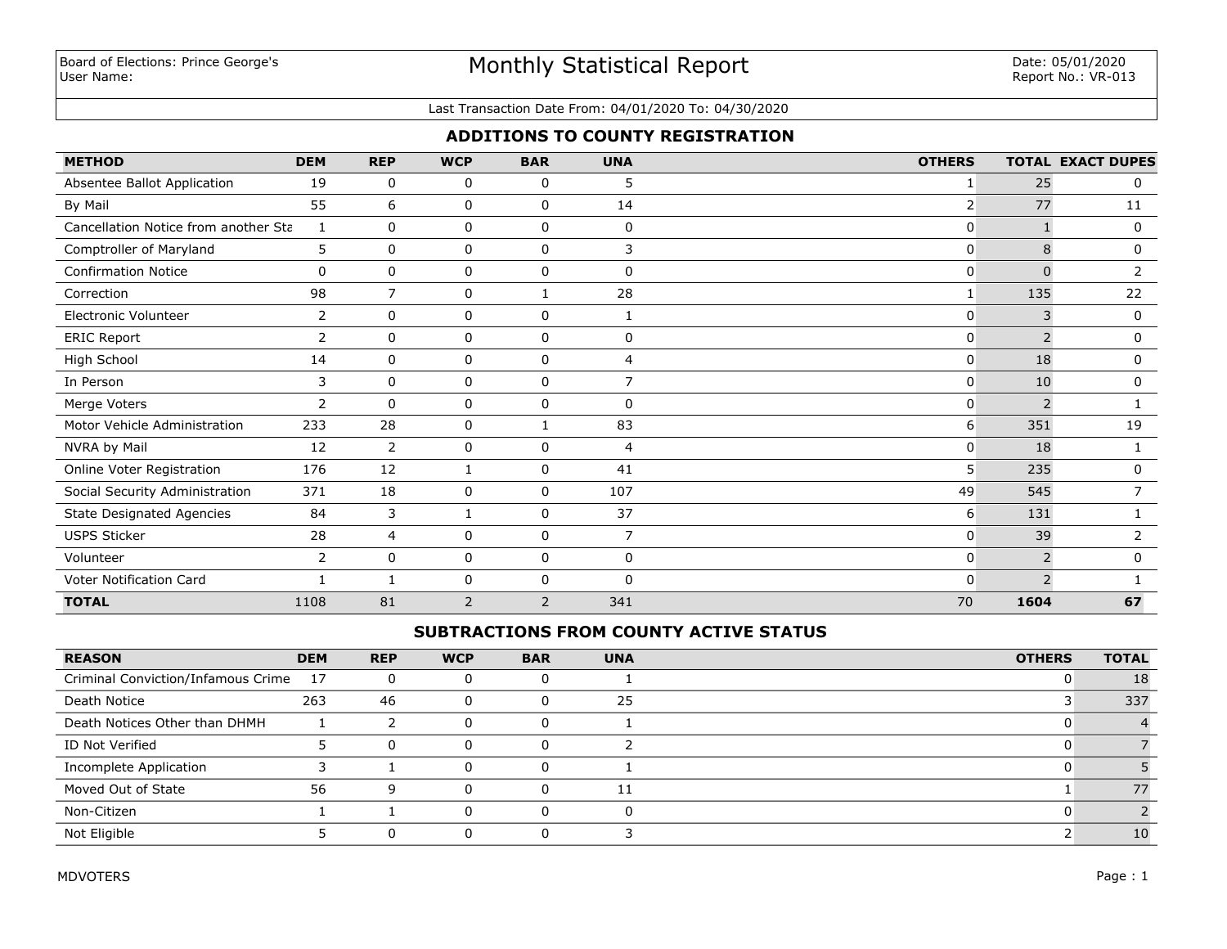# Monthly Statistical Report

#### Last Transaction Date From: 04/01/2020 To: 04/30/2020

# **ADDITIONS TO COUNTY REGISTRATION**

| <b>METHOD</b>                        | <b>DEM</b>     | <b>REP</b>     | <b>WCP</b>     | <b>BAR</b>   | <b>UNA</b>     | <b>OTHERS</b>  |                | <b>TOTAL EXACT DUPES</b> |
|--------------------------------------|----------------|----------------|----------------|--------------|----------------|----------------|----------------|--------------------------|
| Absentee Ballot Application          | 19             | 0              | 0              | 0            | 5              | 1              | 25             | 0                        |
| By Mail                              | 55             | 6              | 0              | 0            | 14             | $\overline{2}$ | 77             | 11                       |
| Cancellation Notice from another Sta | 1              | $\mathbf{0}$   | 0              | 0            | $\mathbf{0}$   | 0              |                | $\mathbf 0$              |
| Comptroller of Maryland              | 5              | 0              | 0              | $\mathbf 0$  | 3              | 0              | 8              | 0                        |
| <b>Confirmation Notice</b>           | 0              | $\mathbf 0$    | 0              | $\mathbf 0$  | 0              | 0              | $\Omega$       | $\overline{2}$           |
| Correction                           | 98             | 7              | 0              | $\mathbf{1}$ | 28             | 1              | 135            | 22                       |
| Electronic Volunteer                 | $\overline{2}$ | 0              | 0              | 0            | 1              | 0              | 3              | 0                        |
| <b>ERIC Report</b>                   | 2              | $\mathbf 0$    | 0              | 0            | $\mathbf{0}$   | 0              | 2              | 0                        |
| High School                          | 14             | $\mathbf 0$    | 0              | 0            | 4              | 0              | 18             | 0                        |
| In Person                            | 3              | $\Omega$       | 0              | $\mathbf 0$  | $\overline{7}$ | 0              | 10             | 0                        |
| Merge Voters                         | $\overline{2}$ | $\Omega$       | 0              | $\mathbf 0$  | $\Omega$       | 0              | $\overline{2}$ |                          |
| Motor Vehicle Administration         | 233            | 28             | 0              | -1           | 83             | 6              | 351            | 19                       |
| NVRA by Mail                         | 12             | $\overline{2}$ | 0              | 0            | $\overline{4}$ | 0              | 18             |                          |
| Online Voter Registration            | 176            | 12             | 1              | 0            | 41             | 5 <sup>1</sup> | 235            | 0                        |
| Social Security Administration       | 371            | 18             | 0              | 0            | 107            | 49             | 545            |                          |
| <b>State Designated Agencies</b>     | 84             | 3              | 1              | 0            | 37             | 6              | 131            |                          |
| <b>USPS Sticker</b>                  | 28             | $\overline{4}$ | 0              | 0            | 7              | 0              | 39             | 2                        |
| Volunteer                            | $\overline{2}$ | $\mathbf 0$    | 0              | 0            | $\mathbf 0$    | 0              | 2              | 0                        |
| Voter Notification Card              |                |                | 0              | 0            | $\Omega$       | $\Omega$       | $\mathcal{P}$  |                          |
| <b>TOTAL</b>                         | 1108           | 81             | $\overline{2}$ | 2            | 341            | 70             | 1604           | 67                       |

## **SUBTRACTIONS FROM COUNTY ACTIVE STATUS**

| <b>REASON</b>                      | <b>DEM</b> | <b>REP</b> | <b>WCP</b> | <b>BAR</b> | <b>UNA</b> | <b>OTHERS</b> | <b>TOTAL</b> |
|------------------------------------|------------|------------|------------|------------|------------|---------------|--------------|
| Criminal Conviction/Infamous Crime | 17         | 0          |            |            |            |               | 18           |
| Death Notice                       | 263        | 46         | 0          |            | 25         |               | 337          |
| Death Notices Other than DHMH      |            |            |            |            |            |               |              |
| ID Not Verified                    |            | 0          |            |            |            |               |              |
| Incomplete Application             |            |            |            |            |            |               |              |
| Moved Out of State                 | 56         | q          | 0          | 0          | 11         |               | 77           |
| Non-Citizen                        |            |            | o          | 0          | $\Omega$   |               |              |
| Not Eligible                       |            |            |            |            |            |               | 10           |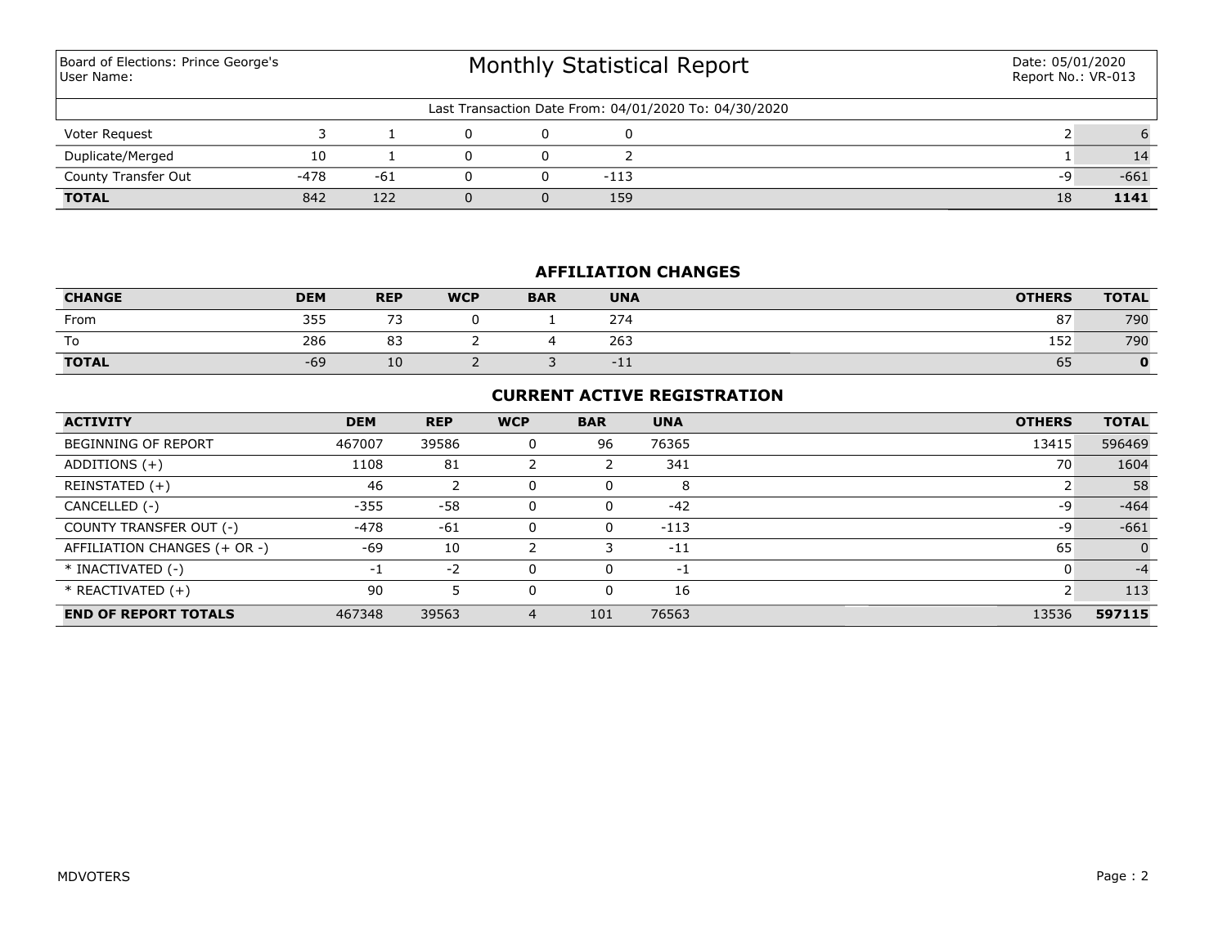Monthly Statistical Report Last Transaction Date From: 04/01/2020 To: 04/30/2020 Board of Elections: Prince George's User Name: Date: 05/01/2020 Report No.: VR-013 Voter Request 3 1 0 0 0 2 6 **TOTAL** 842 122 0 0 159 18 **1141** County Transfer Out  $-478$   $-61$  0 0  $-113$  -9  $-661$ Duplicate/Merged 10 1 0 0 2 1 14

## **AFFILIATION CHANGES**

| <b>CHANGE</b> | <b>DEM</b> | <b>REP</b>               | <b>WCP</b> | <b>BAR</b> | <b>UNA</b> | <b>OTHERS</b> | <b>TOTAL</b> |
|---------------|------------|--------------------------|------------|------------|------------|---------------|--------------|
| From          | 355        | $\overline{\phantom{a}}$ |            |            | 274        | 87            | 790          |
| To            | 286        | $\sim$<br>83             |            |            | 263        | 152           | 790          |
| <b>TOTAL</b>  | $-69$      | ΙU                       |            |            | ATT.       | 65            |              |

# **CURRENT ACTIVE REGISTRATION**

| <b>ACTIVITY</b>              | <b>DEM</b> | <b>REP</b> | <b>WCP</b> | <b>BAR</b> | <b>UNA</b> | <b>OTHERS</b> | <b>TOTAL</b> |
|------------------------------|------------|------------|------------|------------|------------|---------------|--------------|
| <b>BEGINNING OF REPORT</b>   | 467007     | 39586      | 0          | 96         | 76365      | 13415         | 596469       |
| ADDITIONS $(+)$              | 1108       | 81         |            |            | 341        | 70            | 1604         |
| REINSTATED (+)               | 46         |            | 0          | 0          | 8          |               | 58           |
| CANCELLED (-)                | $-355$     | -58        | 0          | 0          | $-42$      | -9            | $-464$       |
| COUNTY TRANSFER OUT (-)      | -478       | $-61$      | 0          | 0          | $-113$     | -9            | $-661$       |
| AFFILIATION CHANGES (+ OR -) | $-69$      | 10         |            |            | $-11$      | 65            | $\Omega$     |
| * INACTIVATED (-)            | -1         | $-2$       | 0          | 0          | $-1$       |               | $-4$         |
| * REACTIVATED (+)            | 90         |            | 0          | 0          | 16         |               | 113          |
| <b>END OF REPORT TOTALS</b>  | 467348     | 39563      | 4          | 101        | 76563      | 13536         | 597115       |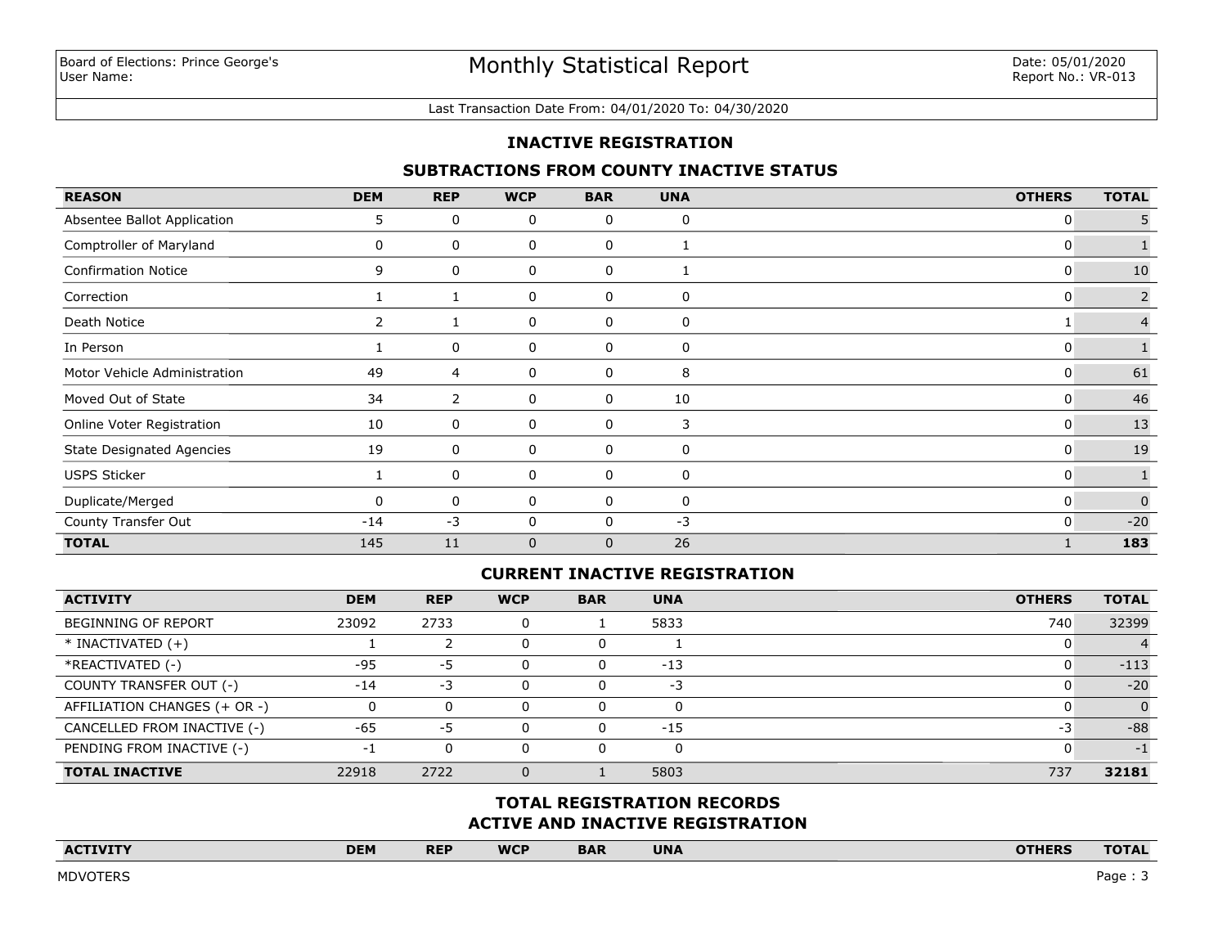#### Last Transaction Date From: 04/01/2020 To: 04/30/2020

## **INACTIVE REGISTRATION**

## **SUBTRACTIONS FROM COUNTY INACTIVE STATUS**

| <b>REASON</b>                    | <b>DEM</b> | <b>REP</b> | <b>WCP</b>   | <b>BAR</b>   | <b>UNA</b> | <b>OTHERS</b> | <b>TOTAL</b>   |
|----------------------------------|------------|------------|--------------|--------------|------------|---------------|----------------|
| Absentee Ballot Application      | 5.         | 0          | 0            | 0            | 0          | 0             |                |
| Comptroller of Maryland          |            | 0          | 0            | 0            |            | 0             |                |
| <b>Confirmation Notice</b>       | 9          | 0          | 0            | 0            |            | 0             | 10             |
| Correction                       |            |            | 0            | 0            | 0          | 0             | $\overline{2}$ |
| Death Notice                     |            |            | 0            | 0            | 0          |               |                |
| In Person                        |            | 0          | 0            | 0            | 0          | 0             |                |
| Motor Vehicle Administration     | 49         | 4          | 0            | 0            | 8          | 0             | 61             |
| Moved Out of State               | 34         | 2          | 0            | 0            | 10         | 0             | 46             |
| Online Voter Registration        | 10         | 0          | 0            | 0            | 3          | 0             | 13             |
| <b>State Designated Agencies</b> | 19         | 0          | 0            | 0            | 0          | 0             | 19             |
| <b>USPS Sticker</b>              |            | 0          | 0            | 0            | 0          | 0             |                |
| Duplicate/Merged                 | 0          | 0          | 0            | 0            | 0          | 0             | $\Omega$       |
| County Transfer Out              | $-14$      | $-3$       | 0            | 0            | $-3$       | 0             | $-20$          |
| <b>TOTAL</b>                     | 145        | 11         | $\mathbf{0}$ | $\mathbf{0}$ | 26         |               | 183            |

## **CURRENT INACTIVE REGISTRATION**

| <b>ACTIVITY</b>              | <b>DEM</b> | <b>REP</b> | <b>WCP</b> | <b>BAR</b> | <b>UNA</b> | <b>OTHERS</b> | <b>TOTAL</b> |
|------------------------------|------------|------------|------------|------------|------------|---------------|--------------|
| <b>BEGINNING OF REPORT</b>   | 23092      | 2733       |            |            | 5833       | 740           | 32399        |
| $*$ INACTIVATED $(+)$        |            |            |            | u          |            |               |              |
| *REACTIVATED (-)             | $-95$      | -5         |            | 0          | $-13$      |               | $-113$       |
| COUNTY TRANSFER OUT (-)      | $-14$      | -3         |            | 0          | $-3$       |               | $-20$        |
| AFFILIATION CHANGES (+ OR -) |            | 0          |            | 0          | $\Omega$   |               | $\Omega$     |
| CANCELLED FROM INACTIVE (-)  | $-65$      | -5         |            | $\Omega$   | $-15$      | -3            | $-88$        |
| PENDING FROM INACTIVE (-)    |            | 0          |            |            | 0          |               | $-1$         |
| <b>TOTAL INACTIVE</b>        | 22918      | 2722       |            |            | 5803       | 737           | 32181        |

## **ACTIVE AND INACTIVE REGISTRATION TOTAL REGISTRATION RECORDS**

| <b>ACTIVITY</b><br>the contract of the contract of the contract of the contract of the contract of | <b>DEM</b> | <b>REP</b> | <b>WCP</b> | <b>BAR</b> | <b>UNA</b> | <b>OTHERS</b> | <b>TOTAL</b> |
|----------------------------------------------------------------------------------------------------|------------|------------|------------|------------|------------|---------------|--------------|
|                                                                                                    |            |            |            |            |            |               |              |